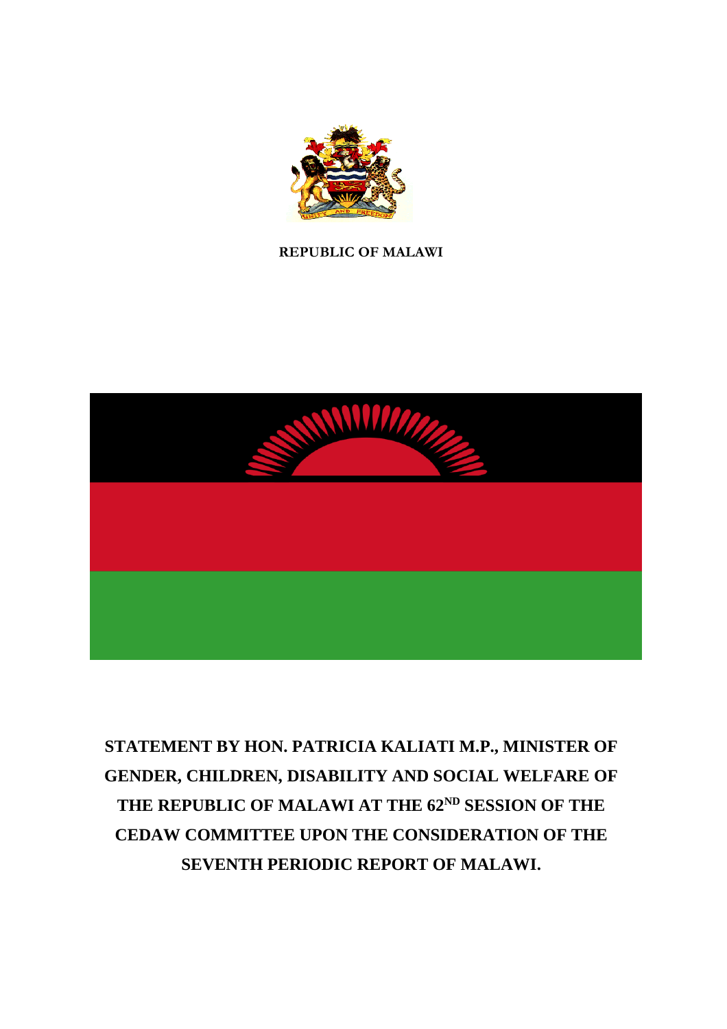

#### **REPUBLIC OF MALAWI**



# **STATEMENT BY HON. PATRICIA KALIATI M.P., MINISTER OF GENDER, CHILDREN, DISABILITY AND SOCIAL WELFARE OF THE REPUBLIC OF MALAWI AT THE 62ND SESSION OF THE CEDAW COMMITTEE UPON THE CONSIDERATION OF THE SEVENTH PERIODIC REPORT OF MALAWI.**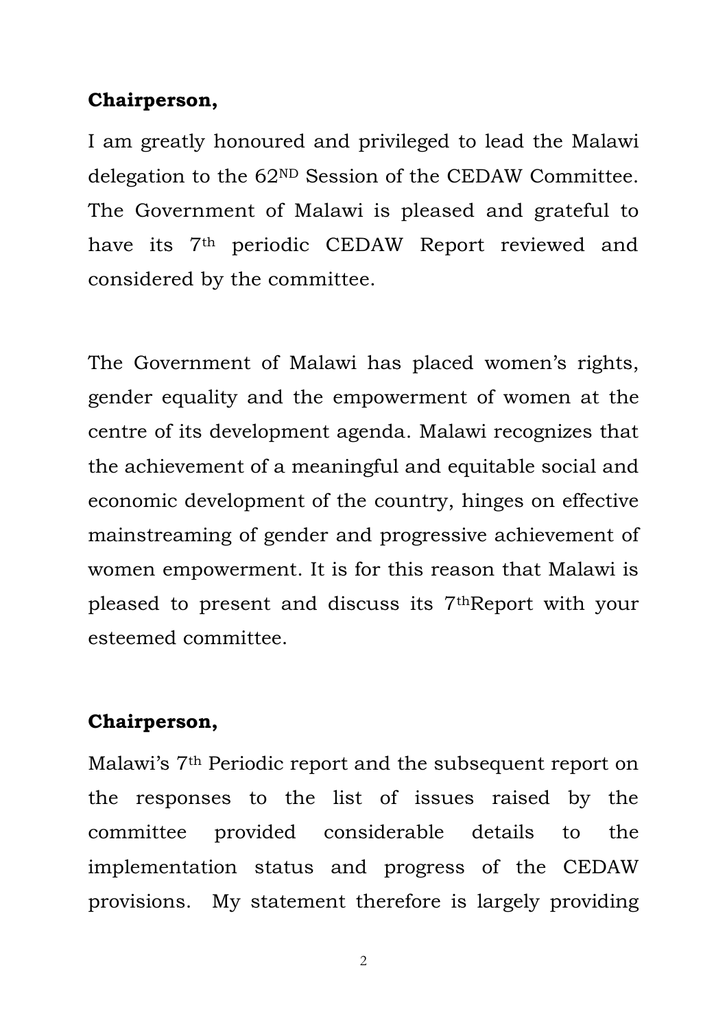## **Chairperson,**

I am greatly honoured and privileged to lead the Malawi delegation to the 62ND Session of the CEDAW Committee. The Government of Malawi is pleased and grateful to have its 7th periodic CEDAW Report reviewed and considered by the committee.

The Government of Malawi has placed women's rights, gender equality and the empowerment of women at the centre of its development agenda. Malawi recognizes that the achievement of a meaningful and equitable social and economic development of the country, hinges on effective mainstreaming of gender and progressive achievement of women empowerment. It is for this reason that Malawi is pleased to present and discuss its 7thReport with your esteemed committee.

## **Chairperson,**

Malawi's 7th Periodic report and the subsequent report on the responses to the list of issues raised by the committee provided considerable details to the implementation status and progress of the CEDAW provisions. My statement therefore is largely providing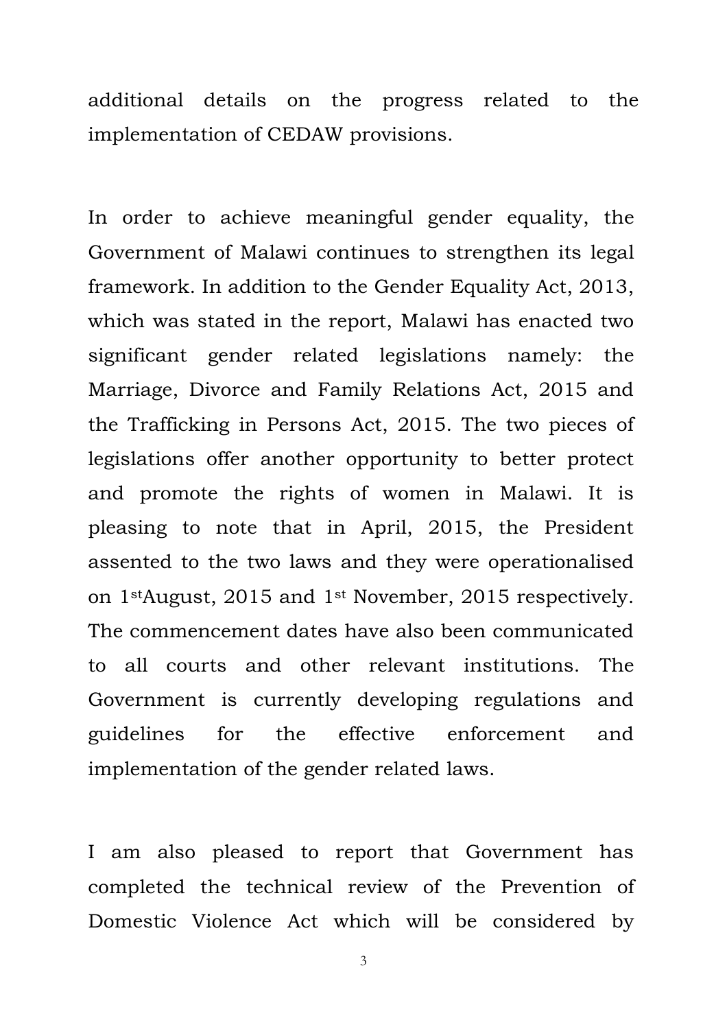additional details on the progress related to the implementation of CEDAW provisions.

In order to achieve meaningful gender equality, the Government of Malawi continues to strengthen its legal framework. In addition to the Gender Equality Act, 2013, which was stated in the report, Malawi has enacted two significant gender related legislations namely: the Marriage, Divorce and Family Relations Act, 2015 and the Trafficking in Persons Act, 2015. The two pieces of legislations offer another opportunity to better protect and promote the rights of women in Malawi. It is pleasing to note that in April, 2015, the President assented to the two laws and they were operationalised on 1stAugust, 2015 and 1st November, 2015 respectively. The commencement dates have also been communicated to all courts and other relevant institutions. The Government is currently developing regulations and guidelines for the effective enforcement and implementation of the gender related laws.

I am also pleased to report that Government has completed the technical review of the Prevention of Domestic Violence Act which will be considered by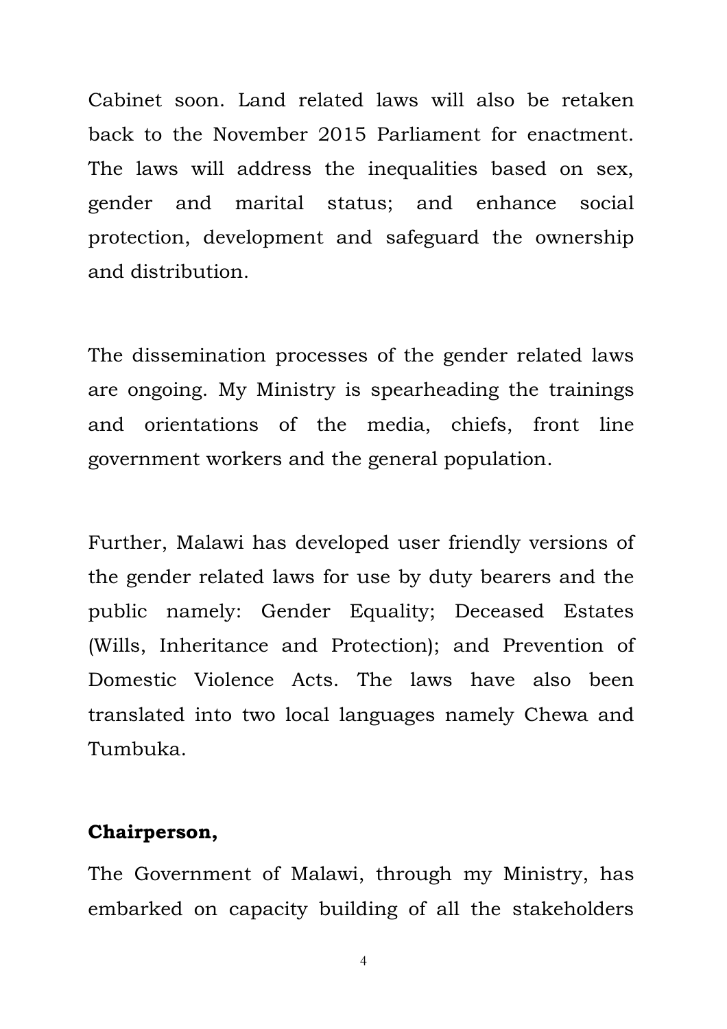Cabinet soon. Land related laws will also be retaken back to the November 2015 Parliament for enactment. The laws will address the inequalities based on sex, gender and marital status; and enhance social protection, development and safeguard the ownership and distribution.

The dissemination processes of the gender related laws are ongoing. My Ministry is spearheading the trainings and orientations of the media, chiefs, front line government workers and the general population.

Further, Malawi has developed user friendly versions of the gender related laws for use by duty bearers and the public namely: Gender Equality; Deceased Estates (Wills, Inheritance and Protection); and Prevention of Domestic Violence Acts. The laws have also been translated into two local languages namely Chewa and Tumbuka.

#### **Chairperson,**

The Government of Malawi, through my Ministry, has embarked on capacity building of all the stakeholders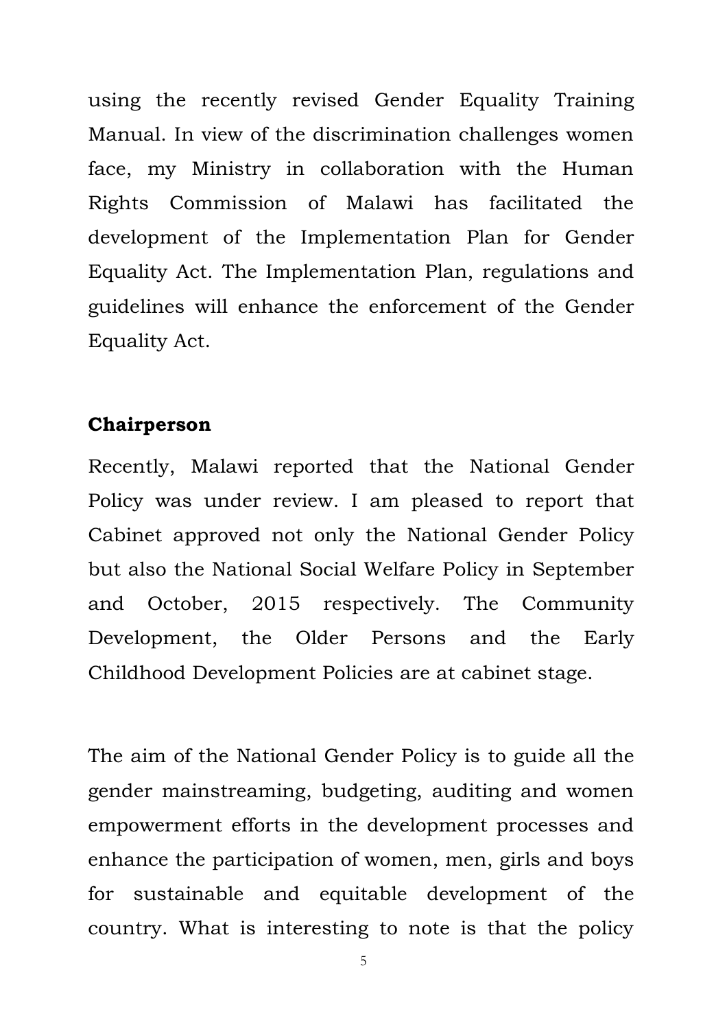using the recently revised Gender Equality Training Manual. In view of the discrimination challenges women face, my Ministry in collaboration with the Human Rights Commission of Malawi has facilitated the development of the Implementation Plan for Gender Equality Act. The Implementation Plan, regulations and guidelines will enhance the enforcement of the Gender Equality Act.

#### **Chairperson**

Recently, Malawi reported that the National Gender Policy was under review. I am pleased to report that Cabinet approved not only the National Gender Policy but also the National Social Welfare Policy in September and October, 2015 respectively. The Community Development, the Older Persons and the Early Childhood Development Policies are at cabinet stage.

The aim of the National Gender Policy is to guide all the gender mainstreaming, budgeting, auditing and women empowerment efforts in the development processes and enhance the participation of women, men, girls and boys for sustainable and equitable development of the country. What is interesting to note is that the policy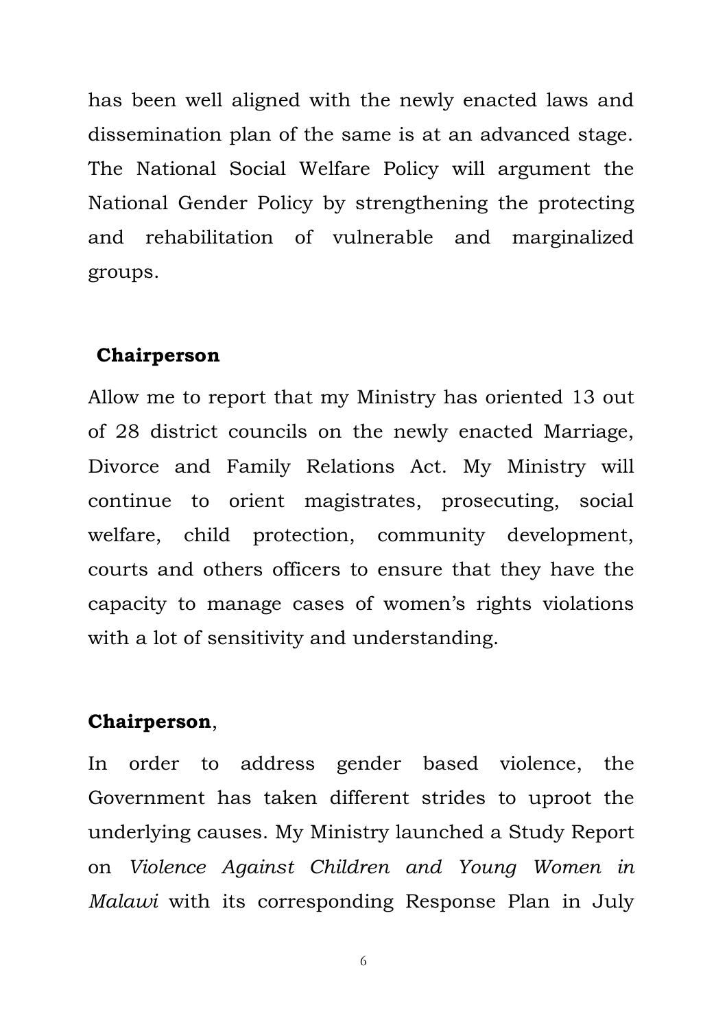has been well aligned with the newly enacted laws and dissemination plan of the same is at an advanced stage. The National Social Welfare Policy will argument the National Gender Policy by strengthening the protecting and rehabilitation of vulnerable and marginalized groups.

#### **Chairperson**

Allow me to report that my Ministry has oriented 13 out of 28 district councils on the newly enacted Marriage, Divorce and Family Relations Act. My Ministry will continue to orient magistrates, prosecuting, social welfare, child protection, community development, courts and others officers to ensure that they have the capacity to manage cases of women's rights violations with a lot of sensitivity and understanding.

#### **Chairperson**,

In order to address gender based violence, the Government has taken different strides to uproot the underlying causes. My Ministry launched a Study Report on *Violence Against Children and Young Women in Malawi* with its corresponding Response Plan in July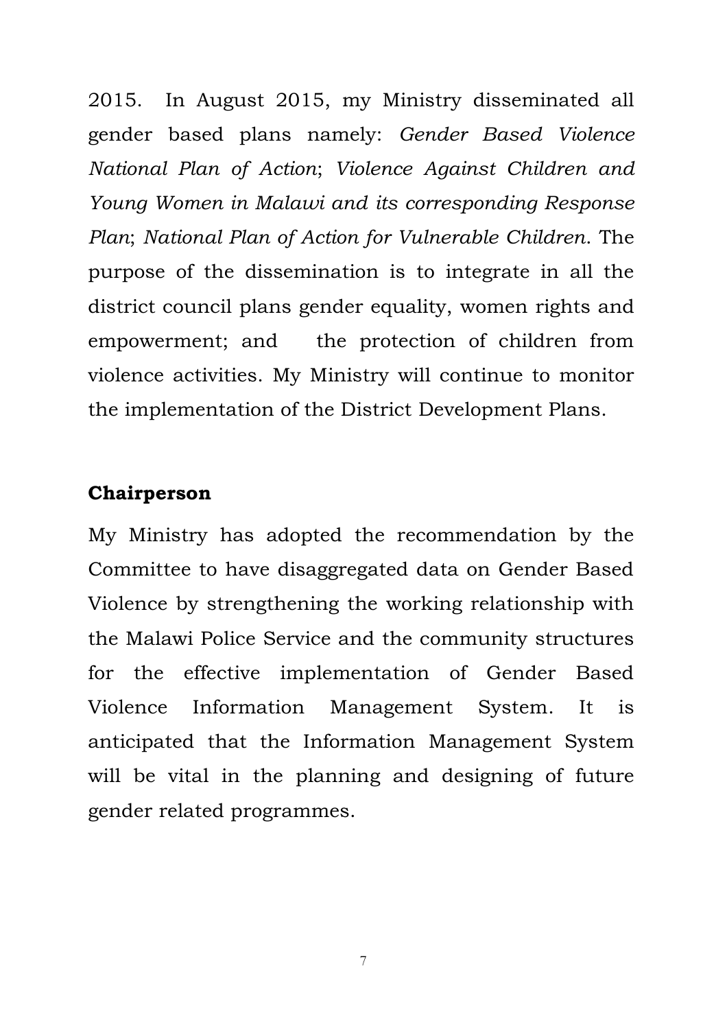2015. In August 2015, my Ministry disseminated all gender based plans namely: *Gender Based Violence National Plan of Action*; *Violence Against Children and Young Women in Malawi and its corresponding Response Plan*; *National Plan of Action for Vulnerable Children*. The purpose of the dissemination is to integrate in all the district council plans gender equality, women rights and empowerment; and the protection of children from violence activities. My Ministry will continue to monitor the implementation of the District Development Plans.

#### **Chairperson**

My Ministry has adopted the recommendation by the Committee to have disaggregated data on Gender Based Violence by strengthening the working relationship with the Malawi Police Service and the community structures for the effective implementation of Gender Based Violence Information Management System. It is anticipated that the Information Management System will be vital in the planning and designing of future gender related programmes.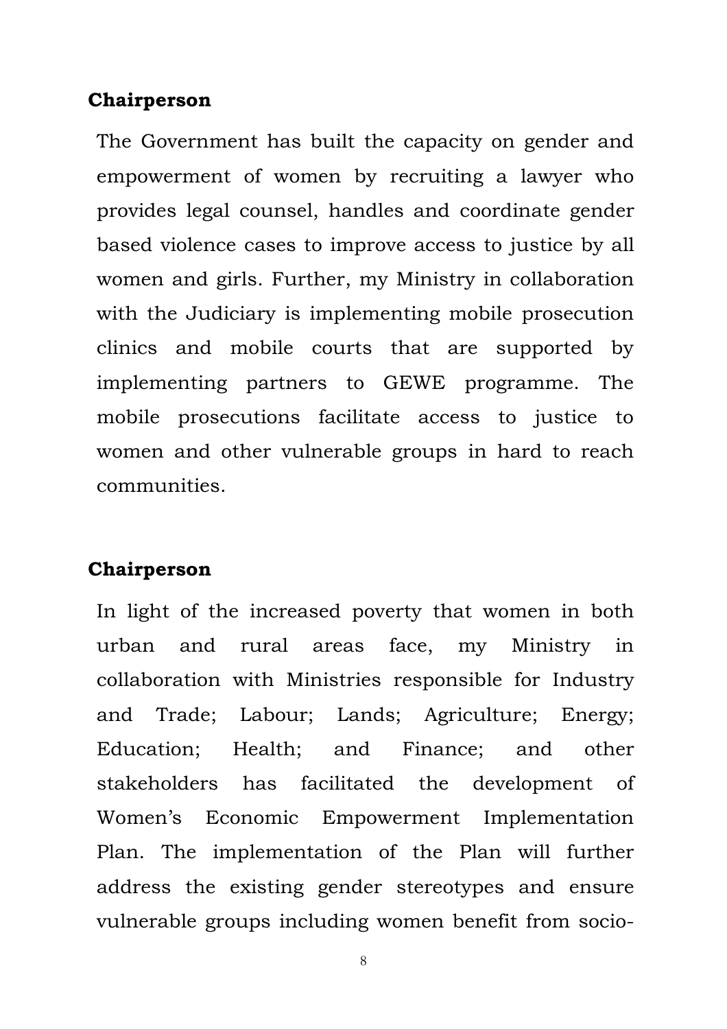#### **Chairperson**

The Government has built the capacity on gender and empowerment of women by recruiting a lawyer who provides legal counsel, handles and coordinate gender based violence cases to improve access to justice by all women and girls. Further, my Ministry in collaboration with the Judiciary is implementing mobile prosecution clinics and mobile courts that are supported by implementing partners to GEWE programme. The mobile prosecutions facilitate access to justice to women and other vulnerable groups in hard to reach communities.

#### **Chairperson**

In light of the increased poverty that women in both urban and rural areas face, my Ministry in collaboration with Ministries responsible for Industry and Trade; Labour; Lands; Agriculture; Energy; Education; Health; and Finance; and other stakeholders has facilitated the development of Women's Economic Empowerment Implementation Plan. The implementation of the Plan will further address the existing gender stereotypes and ensure vulnerable groups including women benefit from socio-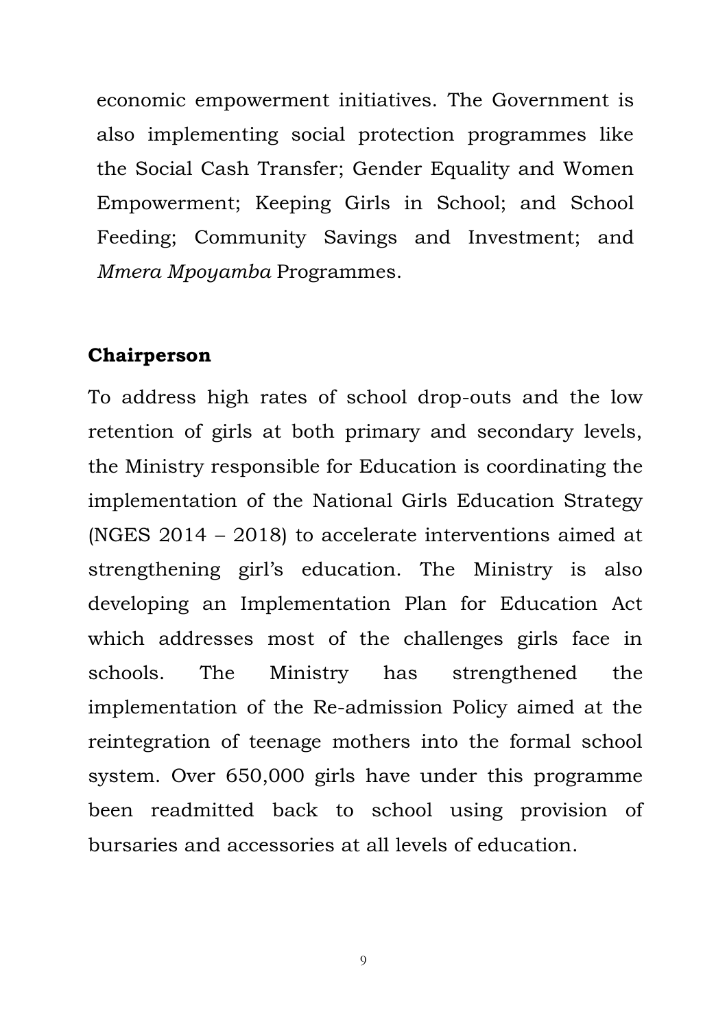economic empowerment initiatives. The Government is also implementing social protection programmes like the Social Cash Transfer; Gender Equality and Women Empowerment; Keeping Girls in School; and School Feeding; Community Savings and Investment; and *Mmera Mpoyamba* Programmes.

#### **Chairperson**

To address high rates of school drop-outs and the low retention of girls at both primary and secondary levels, the Ministry responsible for Education is coordinating the implementation of the National Girls Education Strategy (NGES 2014 – 2018) to accelerate interventions aimed at strengthening girl's education. The Ministry is also developing an Implementation Plan for Education Act which addresses most of the challenges girls face in schools. The Ministry has strengthened the implementation of the Re-admission Policy aimed at the reintegration of teenage mothers into the formal school system. Over 650,000 girls have under this programme been readmitted back to school using provision of bursaries and accessories at all levels of education.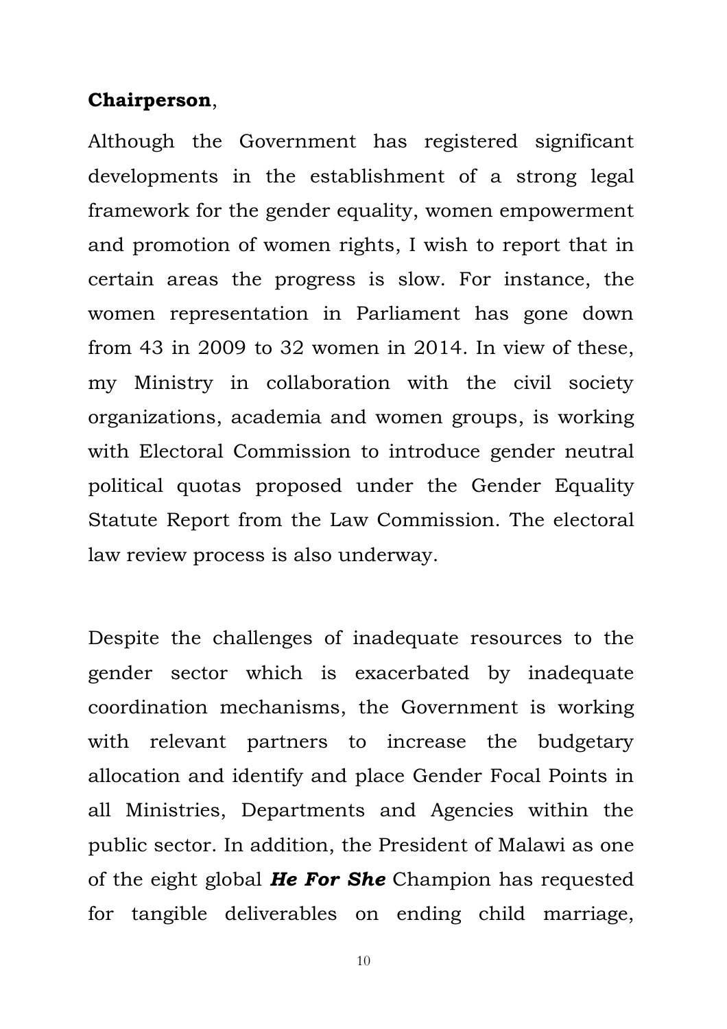#### **Chairperson**,

Although the Government has registered significant developments in the establishment of a strong legal framework for the gender equality, women empowerment and promotion of women rights, I wish to report that in certain areas the progress is slow. For instance, the women representation in Parliament has gone down from 43 in 2009 to 32 women in 2014. In view of these, my Ministry in collaboration with the civil society organizations, academia and women groups, is working with Electoral Commission to introduce gender neutral political quotas proposed under the Gender Equality Statute Report from the Law Commission. The electoral law review process is also underway.

Despite the challenges of inadequate resources to the gender sector which is exacerbated by inadequate coordination mechanisms, the Government is working with relevant partners to increase the budgetary allocation and identify and place Gender Focal Points in all Ministries, Departments and Agencies within the public sector. In addition, the President of Malawi as one of the eight global *He For She* Champion has requested for tangible deliverables on ending child marriage,